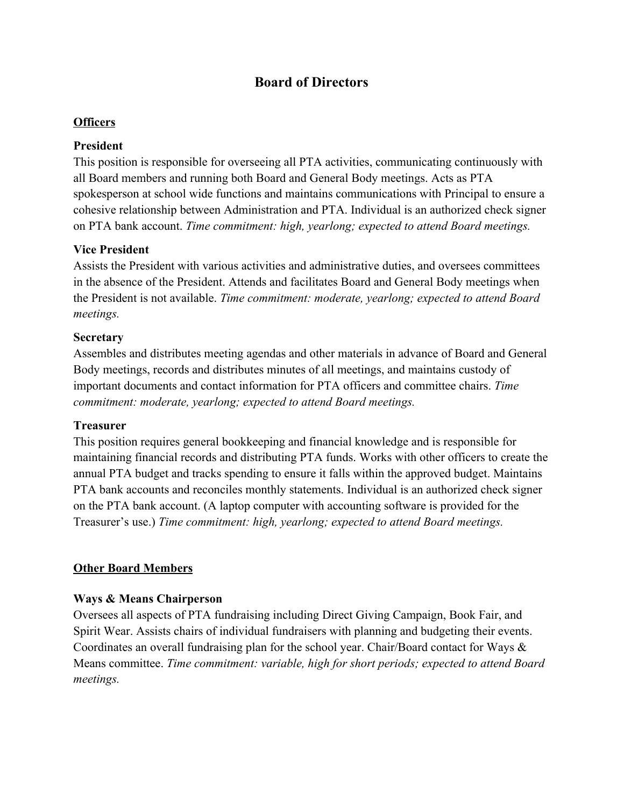# **Board of Directors**

#### **Officers**

#### **President**

This position is responsible for overseeing all PTA activities, communicating continuously with all Board members and running both Board and General Body meetings. Acts as PTA spokesperson at school wide functions and maintains communications with Principal to ensure a cohesive relationship between Administration and PTA. Individual is an authorized check signer on PTA bank account. *Time commitment: high, yearlong; expected to attend Board meetings.*

#### **Vice President**

Assists the President with various activities and administrative duties, and oversees committees in the absence of the President. Attends and facilitates Board and General Body meetings when the President is not available. *Time commitment: moderate, yearlong; expected to attend Board meetings.*

#### **Secretary**

Assembles and distributes meeting agendas and other materials in advance of Board and General Body meetings, records and distributes minutes of all meetings, and maintains custody of important documents and contact information for PTA officers and committee chairs. *Time commitment: moderate, yearlong; expected to attend Board meetings.*

#### **Treasurer**

This position requires general bookkeeping and financial knowledge and is responsible for maintaining financial records and distributing PTA funds. Works with other officers to create the annual PTA budget and tracks spending to ensure it falls within the approved budget. Maintains PTA bank accounts and reconciles monthly statements. Individual is an authorized check signer on the PTA bank account. (A laptop computer with accounting software is provided for the Treasurer's use.) *Time commitment: high, yearlong; expected to attend Board meetings.*

#### **Other Board Members**

#### **Ways & Means Chairperson**

Oversees all aspects of PTA fundraising including Direct Giving Campaign, Book Fair, and Spirit Wear. Assists chairs of individual fundraisers with planning and budgeting their events. Coordinates an overall fundraising plan for the school year. Chair/Board contact for Ways & Means committee. *Time commitment: variable, high for short periods; expected to attend Board meetings.*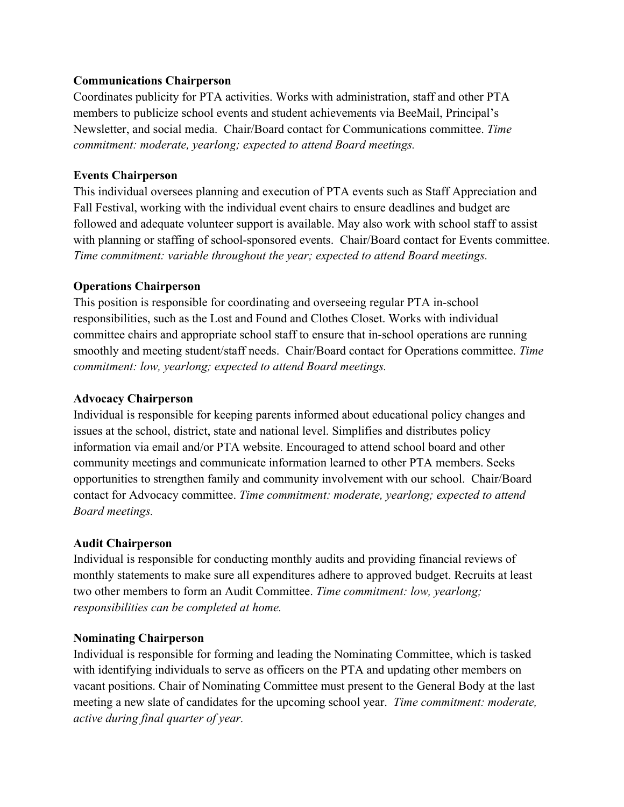#### **Communications Chairperson**

Coordinates publicity for PTA activities. Works with administration, staff and other PTA members to publicize school events and student achievements via BeeMail, Principal's Newsletter, and social media. Chair/Board contact for Communications committee. *Time commitment: moderate, yearlong; expected to attend Board meetings.*

## **Events Chairperson**

This individual oversees planning and execution of PTA events such as Staff Appreciation and Fall Festival, working with the individual event chairs to ensure deadlines and budget are followed and adequate volunteer support is available. May also work with school staff to assist with planning or staffing of school-sponsored events. Chair/Board contact for Events committee. *Time commitment: variable throughout the year; expected to attend Board meetings.*

## **Operations Chairperson**

This position is responsible for coordinating and overseeing regular PTA in-school responsibilities, such as the Lost and Found and Clothes Closet. Works with individual committee chairs and appropriate school staff to ensure that in-school operations are running smoothly and meeting student/staff needs. Chair/Board contact for Operations committee. *Time commitment: low, yearlong; expected to attend Board meetings.*

## **Advocacy Chairperson**

Individual is responsible for keeping parents informed about educational policy changes and issues at the school, district, state and national level. Simplifies and distributes policy information via email and/or PTA website. Encouraged to attend school board and other community meetings and communicate information learned to other PTA members. Seeks opportunities to strengthen family and community involvement with our school. Chair/Board contact for Advocacy committee. *Time commitment: moderate, yearlong; expected to attend Board meetings.*

# **Audit Chairperson**

Individual is responsible for conducting monthly audits and providing financial reviews of monthly statements to make sure all expenditures adhere to approved budget. Recruits at least two other members to form an Audit Committee. *Time commitment: low, yearlong; responsibilities can be completed at home.*

# **Nominating Chairperson**

Individual is responsible for forming and leading the Nominating Committee, which is tasked with identifying individuals to serve as officers on the PTA and updating other members on vacant positions. Chair of Nominating Committee must present to the General Body at the last meeting a new slate of candidates for the upcoming school year. *Time commitment: moderate, active during final quarter of year.*